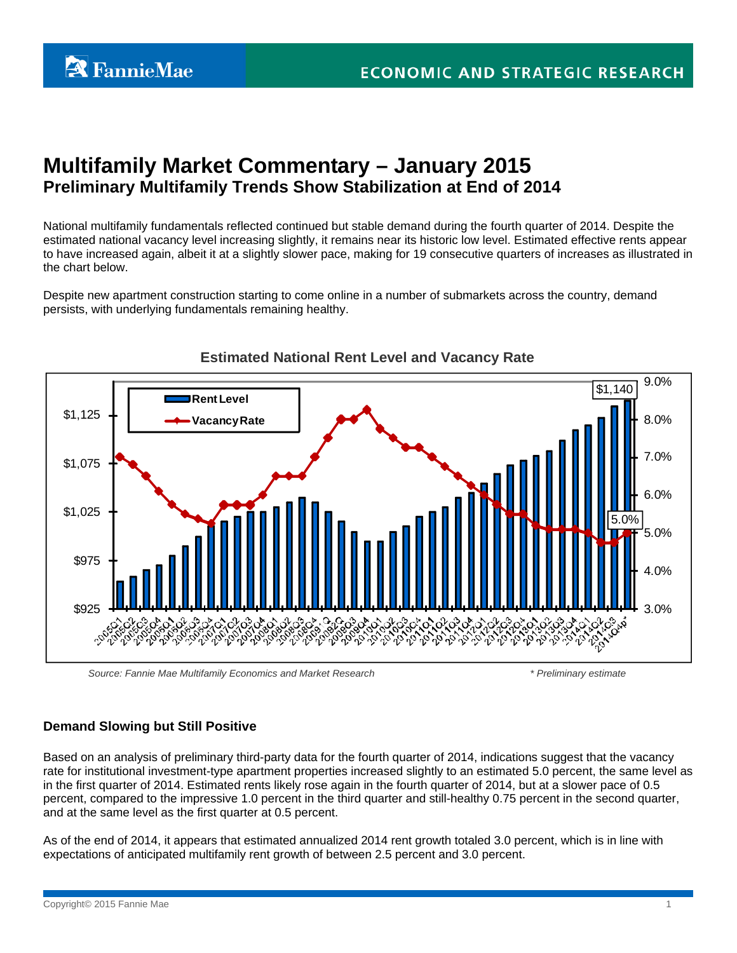# **Multifamily Market Commentary – January 2015 Preliminary Multifamily Trends Show Stabilization at End of 2014**

National multifamily fundamentals reflected continued but stable demand during the fourth quarter of 2014. Despite the estimated national vacancy level increasing slightly, it remains near its historic low level. Estimated effective rents appear to have increased again, albeit it at a slightly slower pace, making for 19 consecutive quarters of increases as illustrated in the chart below.

Despite new apartment construction starting to come online in a number of submarkets across the country, demand persists, with underlying fundamentals remaining healthy.



**Estimated National Rent Level and Vacancy Rate**

*Source: Fannie Mae Multifamily Economics and Market Research \* Preliminary estimate*

# **Demand Slowing but Still Positive**

Based on an analysis of preliminary third-party data for the fourth quarter of 2014, indications suggest that the vacancy rate for institutional investment-type apartment properties increased slightly to an estimated 5.0 percent, the same level as in the first quarter of 2014. Estimated rents likely rose again in the fourth quarter of 2014, but at a slower pace of 0.5 percent, compared to the impressive 1.0 percent in the third quarter and still-healthy 0.75 percent in the second quarter, and at the same level as the first quarter at 0.5 percent.

As of the end of 2014, it appears that estimated annualized 2014 rent growth totaled 3.0 percent, which is in line with expectations of anticipated multifamily rent growth of between 2.5 percent and 3.0 percent.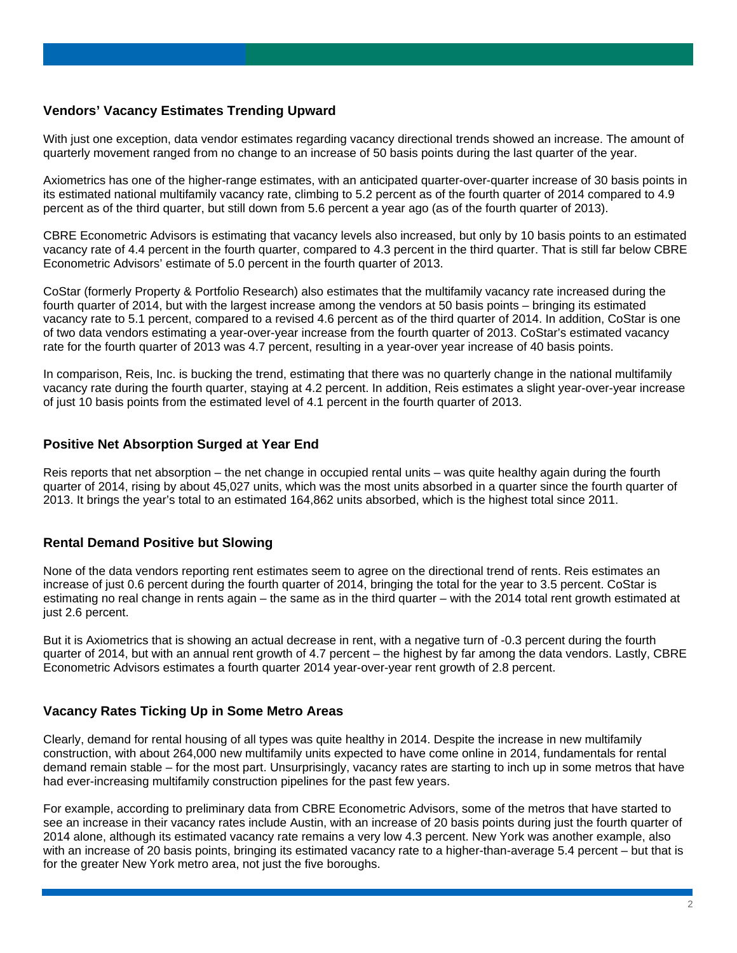# **Vendors' Vacancy Estimates Trending Upward**

With just one exception, data vendor estimates regarding vacancy directional trends showed an increase. The amount of quarterly movement ranged from no change to an increase of 50 basis points during the last quarter of the year.

Axiometrics has one of the higher-range estimates, with an anticipated quarter-over-quarter increase of 30 basis points in its estimated national multifamily vacancy rate, climbing to 5.2 percent as of the fourth quarter of 2014 compared to 4.9 percent as of the third quarter, but still down from 5.6 percent a year ago (as of the fourth quarter of 2013).

CBRE Econometric Advisors is estimating that vacancy levels also increased, but only by 10 basis points to an estimated vacancy rate of 4.4 percent in the fourth quarter, compared to 4.3 percent in the third quarter. That is still far below CBRE Econometric Advisors' estimate of 5.0 percent in the fourth quarter of 2013.

CoStar (formerly Property & Portfolio Research) also estimates that the multifamily vacancy rate increased during the fourth quarter of 2014, but with the largest increase among the vendors at 50 basis points – bringing its estimated vacancy rate to 5.1 percent, compared to a revised 4.6 percent as of the third quarter of 2014. In addition, CoStar is one of two data vendors estimating a year-over-year increase from the fourth quarter of 2013. CoStar's estimated vacancy rate for the fourth quarter of 2013 was 4.7 percent, resulting in a year-over year increase of 40 basis points.

In comparison, Reis, Inc. is bucking the trend, estimating that there was no quarterly change in the national multifamily vacancy rate during the fourth quarter, staying at 4.2 percent. In addition, Reis estimates a slight year-over-year increase of just 10 basis points from the estimated level of 4.1 percent in the fourth quarter of 2013.

## **Positive Net Absorption Surged at Year End**

Reis reports that net absorption – the net change in occupied rental units – was quite healthy again during the fourth quarter of 2014, rising by about 45,027 units, which was the most units absorbed in a quarter since the fourth quarter of 2013. It brings the year's total to an estimated 164,862 units absorbed, which is the highest total since 2011.

### **Rental Demand Positive but Slowing**

None of the data vendors reporting rent estimates seem to agree on the directional trend of rents. Reis estimates an increase of just 0.6 percent during the fourth quarter of 2014, bringing the total for the year to 3.5 percent. CoStar is estimating no real change in rents again – the same as in the third quarter – with the 2014 total rent growth estimated at just 2.6 percent.

But it is Axiometrics that is showing an actual decrease in rent, with a negative turn of -0.3 percent during the fourth quarter of 2014, but with an annual rent growth of 4.7 percent – the highest by far among the data vendors. Lastly, CBRE Econometric Advisors estimates a fourth quarter 2014 year-over-year rent growth of 2.8 percent.

### **Vacancy Rates Ticking Up in Some Metro Areas**

Clearly, demand for rental housing of all types was quite healthy in 2014. Despite the increase in new multifamily construction, with about 264,000 new multifamily units expected to have come online in 2014, fundamentals for rental demand remain stable – for the most part. Unsurprisingly, vacancy rates are starting to inch up in some metros that have had ever-increasing multifamily construction pipelines for the past few years.

For example, according to preliminary data from CBRE Econometric Advisors, some of the metros that have started to see an increase in their vacancy rates include Austin, with an increase of 20 basis points during just the fourth quarter of 2014 alone, although its estimated vacancy rate remains a very low 4.3 percent. New York was another example, also with an increase of 20 basis points, bringing its estimated vacancy rate to a higher-than-average 5.4 percent – but that is for the greater New York metro area, not just the five boroughs.